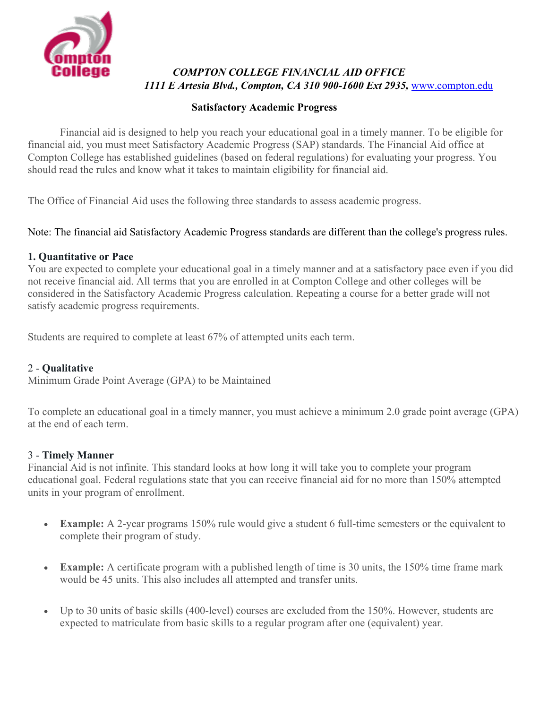

# *COMPTON COLLEGE FINANCIAL AID OFFICE 1111 E Artesia Blvd., Compton, CA 310 900-1600 Ext 2935,* [www.compton.edu](http://www.compton.edu/)

### **Satisfactory Academic Progress**

Financial aid is designed to help you reach your educational goal in a timely manner. To be eligible for financial aid, you must meet Satisfactory Academic Progress (SAP) standards. The Financial Aid office at Compton College has established guidelines (based on federal regulations) for evaluating your progress. You should read the rules and know what it takes to maintain eligibility for financial aid.

The Office of Financial Aid uses the following three standards to assess academic progress.

Note: The financial aid Satisfactory Academic Progress standards are different than the college's progress rules.

## **1. Quantitative or Pace**

You are expected to complete your educational goal in a timely manner and at a satisfactory pace even if you did not receive financial aid. All terms that you are enrolled in at Compton College and other colleges will be considered in the Satisfactory Academic Progress calculation. Repeating a course for a better grade will not satisfy academic progress requirements.

Students are required to complete at least 67% of attempted units each term.

## 2 - **Qualitative**

Minimum Grade Point Average (GPA) to be Maintained

To complete an educational goal in a timely manner, you must achieve a minimum 2.0 grade point average (GPA) at the end of each term.

## 3 - **Timely Manner**

Financial Aid is not infinite. This standard looks at how long it will take you to complete your program educational goal. Federal regulations state that you can receive financial aid for no more than 150% attempted units in your program of enrollment.

- **Example:** A 2-year programs 150% rule would give a student 6 full-time semesters or the equivalent to complete their program of study.
- **Example:** A certificate program with a published length of time is 30 units, the 150% time frame mark would be 45 units. This also includes all attempted and transfer units.
- Up to 30 units of basic skills (400-level) courses are excluded from the 150%. However, students are expected to matriculate from basic skills to a regular program after one (equivalent) year.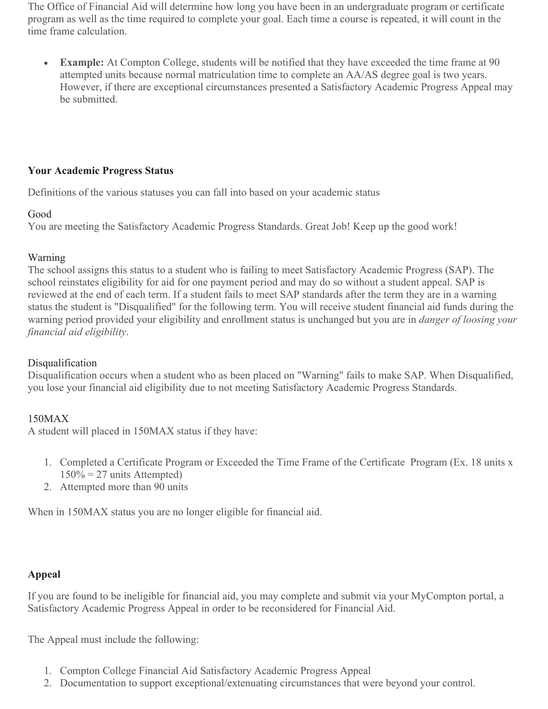The Office of Financial Aid will determine how long you have been in an undergraduate program or certificate program as well as the time required to complete your goal. Each time a course is repeated, it will count in the time frame calculation.

• **Example:** At Compton College, students will be notified that they have exceeded the time frame at 90 attempted units because normal matriculation time to complete an AA/AS degree goal is two years. However, if there are exceptional circumstances presented a Satisfactory Academic Progress Appeal may be submitted.

### **Your Academic Progress Status**

Definitions of the various statuses you can fall into based on your academic status

#### Good

You are meeting the Satisfactory Academic Progress Standards. Great Job! Keep up the good work!

### Warning

The school assigns this status to a student who is failing to meet Satisfactory Academic Progress (SAP). The school reinstates eligibility for aid for one payment period and may do so without a student appeal. SAP is reviewed at the end of each term. If a student fails to meet SAP standards after the term they are in a warning status the student is "Disqualified" for the following term. You will receive student financial aid funds during the warning period provided your eligibility and enrollment status is unchanged but you are in *danger of loosing your financial aid eligibility*.

## Disqualification

Disqualification occurs when a student who as been placed on "Warning" fails to make SAP. When Disqualified, you lose your financial aid eligibility due to not meeting Satisfactory Academic Progress Standards.

## 150MAX

A student will placed in 150MAX status if they have:

- 1. Completed a Certificate Program or Exceeded the Time Frame of the Certificate Program (Ex. 18 units x  $150\% = 27$  units Attempted)
- 2. Attempted more than 90 units

When in 150MAX status you are no longer eligible for financial aid.

## **Appeal**

If you are found to be ineligible for financial aid, you may complete and submit via your MyCompton portal, a Satisfactory Academic Progress Appeal in order to be reconsidered for Financial Aid.

The Appeal must include the following:

- 1. Compton College Financial Aid Satisfactory Academic Progress Appeal
- 2. Documentation to support exceptional/extenuating circumstances that were beyond your control.